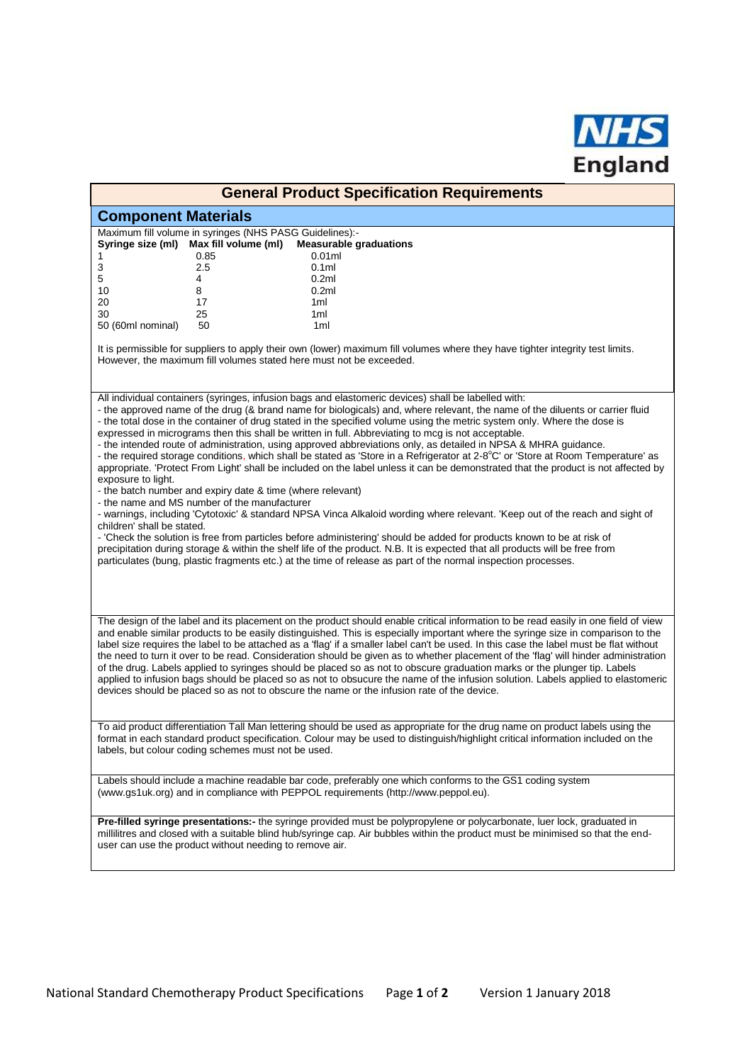

| <b>General Product Specification Requirements</b>                                                                                                                                                                                                                                                                                                                                                                                                                                                                                                                                                                                                                                                                                                                                                                                                                                                                                                                                                                                                                                                                                                                                                                                                                                                                                                                                                                                                                                                                                                 |
|---------------------------------------------------------------------------------------------------------------------------------------------------------------------------------------------------------------------------------------------------------------------------------------------------------------------------------------------------------------------------------------------------------------------------------------------------------------------------------------------------------------------------------------------------------------------------------------------------------------------------------------------------------------------------------------------------------------------------------------------------------------------------------------------------------------------------------------------------------------------------------------------------------------------------------------------------------------------------------------------------------------------------------------------------------------------------------------------------------------------------------------------------------------------------------------------------------------------------------------------------------------------------------------------------------------------------------------------------------------------------------------------------------------------------------------------------------------------------------------------------------------------------------------------------|
| <b>Component Materials</b>                                                                                                                                                                                                                                                                                                                                                                                                                                                                                                                                                                                                                                                                                                                                                                                                                                                                                                                                                                                                                                                                                                                                                                                                                                                                                                                                                                                                                                                                                                                        |
| Maximum fill volume in syringes (NHS PASG Guidelines):-<br>Syringe size (ml)<br>Max fill volume (ml)<br><b>Measurable graduations</b><br>0.01ml<br>0.85<br>1                                                                                                                                                                                                                                                                                                                                                                                                                                                                                                                                                                                                                                                                                                                                                                                                                                                                                                                                                                                                                                                                                                                                                                                                                                                                                                                                                                                      |
| 3<br>$2.5\,$<br>0.1 <sub>m</sub><br>5<br>4<br>0.2 <sub>ml</sub><br>10<br>8<br>0.2ml                                                                                                                                                                                                                                                                                                                                                                                                                                                                                                                                                                                                                                                                                                                                                                                                                                                                                                                                                                                                                                                                                                                                                                                                                                                                                                                                                                                                                                                               |
| 20<br>17<br>1ml<br>30<br>25<br>1ml<br>50<br>1ml<br>50 (60ml nominal)                                                                                                                                                                                                                                                                                                                                                                                                                                                                                                                                                                                                                                                                                                                                                                                                                                                                                                                                                                                                                                                                                                                                                                                                                                                                                                                                                                                                                                                                              |
| It is permissible for suppliers to apply their own (lower) maximum fill volumes where they have tighter integrity test limits.<br>However, the maximum fill volumes stated here must not be exceeded.                                                                                                                                                                                                                                                                                                                                                                                                                                                                                                                                                                                                                                                                                                                                                                                                                                                                                                                                                                                                                                                                                                                                                                                                                                                                                                                                             |
| All individual containers (syringes, infusion bags and elastomeric devices) shall be labelled with:<br>- the approved name of the drug (& brand name for biologicals) and, where relevant, the name of the diluents or carrier fluid<br>- the total dose in the container of drug stated in the specified volume using the metric system only. Where the dose is<br>expressed in micrograms then this shall be written in full. Abbreviating to mcg is not acceptable.<br>- the intended route of administration, using approved abbreviations only, as detailed in NPSA & MHRA guidance.<br>- the required storage conditions, which shall be stated as 'Store in a Refrigerator at 2-8°C' or 'Store at Room Temperature' as<br>appropriate. 'Protect From Light' shall be included on the label unless it can be demonstrated that the product is not affected by<br>exposure to light.<br>- the batch number and expiry date & time (where relevant)<br>- the name and MS number of the manufacturer<br>- warnings, including 'Cytotoxic' & standard NPSA Vinca Alkaloid wording where relevant. 'Keep out of the reach and sight of<br>children' shall be stated.<br>- 'Check the solution is free from particles before administering' should be added for products known to be at risk of<br>precipitation during storage & within the shelf life of the product. N.B. It is expected that all products will be free from<br>particulates (bung, plastic fragments etc.) at the time of release as part of the normal inspection processes. |
| The design of the label and its placement on the product should enable critical information to be read easily in one field of view<br>and enable similar products to be easily distinguished. This is especially important where the syringe size in comparison to the<br>label size requires the label to be attached as a 'flag' if a smaller label can't be used. In this case the label must be flat without<br>the need to turn it over to be read. Consideration should be given as to whether placement of the 'flag' will hinder administration<br>of the drug. Labels applied to syringes should be placed so as not to obscure graduation marks or the plunger tip. Labels<br>applied to infusion bags should be placed so as not to obsucure the name of the infusion solution. Labels applied to elastomeric<br>devices should be placed so as not to obscure the name or the infusion rate of the device.                                                                                                                                                                                                                                                                                                                                                                                                                                                                                                                                                                                                                            |
| To aid product differentiation Tall Man lettering should be used as appropriate for the drug name on product labels using the<br>format in each standard product specification. Colour may be used to distinguish/highlight critical information included on the<br>labels, but colour coding schemes must not be used.                                                                                                                                                                                                                                                                                                                                                                                                                                                                                                                                                                                                                                                                                                                                                                                                                                                                                                                                                                                                                                                                                                                                                                                                                           |
| Labels should include a machine readable bar code, preferably one which conforms to the GS1 coding system<br>(www.gs1uk.org) and in compliance with PEPPOL requirements (http://www.peppol.eu).                                                                                                                                                                                                                                                                                                                                                                                                                                                                                                                                                                                                                                                                                                                                                                                                                                                                                                                                                                                                                                                                                                                                                                                                                                                                                                                                                   |
| Pre-filled syringe presentations:- the syringe provided must be polypropylene or polycarbonate, luer lock, graduated in<br>millilitres and closed with a suitable blind hub/syringe cap. Air bubbles within the product must be minimised so that the end-<br>user can use the product without needing to remove air.                                                                                                                                                                                                                                                                                                                                                                                                                                                                                                                                                                                                                                                                                                                                                                                                                                                                                                                                                                                                                                                                                                                                                                                                                             |